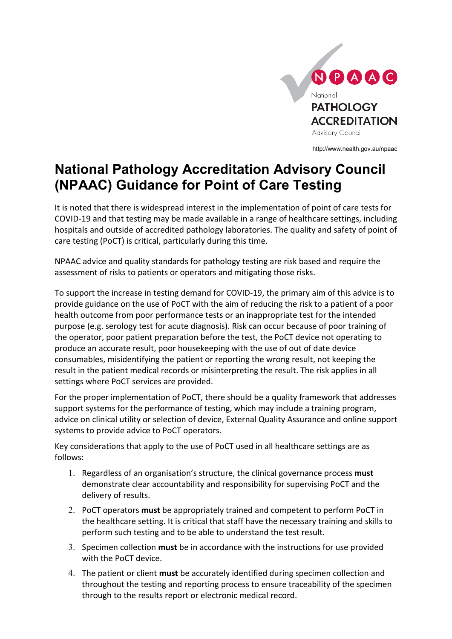

http://www.health.gov.au/npaac

## **National Pathology Accreditation Advisory Council (NPAAC) Guidance for Point of Care Testing**

It is noted that there is widespread interest in the implementation of point of care tests for COVID-19 and that testing may be made available in a range of healthcare settings, including hospitals and outside of accredited pathology laboratories. The quality and safety of point of care testing (PoCT) is critical, particularly during this time.

NPAAC advice and quality standards for pathology testing are risk based and require the assessment of risks to patients or operators and mitigating those risks.

To support the increase in testing demand for COVID-19, the primary aim of this advice is to provide guidance on the use of PoCT with the aim of reducing the risk to a patient of a poor health outcome from poor performance tests or an inappropriate test for the intended purpose (e.g. serology test for acute diagnosis). Risk can occur because of poor training of the operator, poor patient preparation before the test, the PoCT device not operating to produce an accurate result, poor housekeeping with the use of out of date device consumables, misidentifying the patient or reporting the wrong result, not keeping the result in the patient medical records or misinterpreting the result. The risk applies in all settings where PoCT services are provided.

For the proper implementation of PoCT, there should be a quality framework that addresses support systems for the performance of testing, which may include a training program, advice on clinical utility or selection of device, External Quality Assurance and online support systems to provide advice to PoCT operators.

Key considerations that apply to the use of PoCT used in all healthcare settings are as follows:

- 1. Regardless of an organisation's structure, the clinical governance process **must** demonstrate clear accountability and responsibility for supervising PoCT and the delivery of results.
- 2. PoCT operators **must** be appropriately trained and competent to perform PoCT in the healthcare setting. It is critical that staff have the necessary training and skills to perform such testing and to be able to understand the test result.
- 3. Specimen collection **must** be in accordance with the instructions for use provided with the PoCT device.
- 4. The patient or client **must** be accurately identified during specimen collection and throughout the testing and reporting process to ensure traceability of the specimen through to the results report or electronic medical record.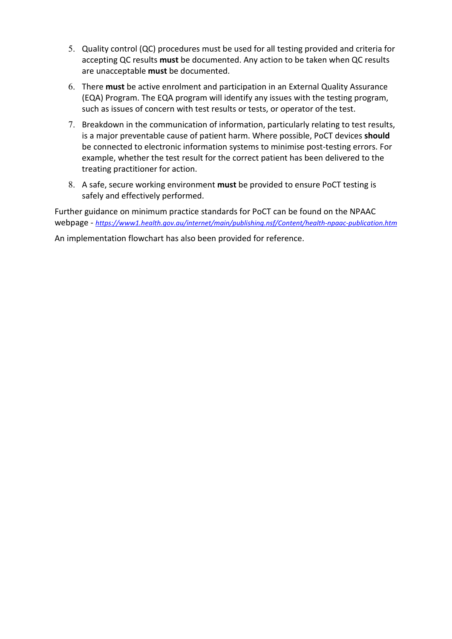- 5. Quality control (QC) procedures must be used for all testing provided and criteria for accepting QC results **must** be documented. Any action to be taken when QC results are unacceptable **must** be documented.
- 6. There **must** be active enrolment and participation in an External Quality Assurance (EQA) Program. The EQA program will identify any issues with the testing program, such as issues of concern with test results or tests, or operator of the test.
- 7. Breakdown in the communication of information, particularly relating to test results, is a major preventable cause of patient harm. Where possible, PoCT devices **should** be connected to electronic information systems to minimise post-testing errors. For example, whether the test result for the correct patient has been delivered to the treating practitioner for action.
- 8. A safe, secure working environment **must** be provided to ensure PoCT testing is safely and effectively performed.

Further guidance on minimum practice standards for PoCT can be found on the NPAAC webpage - *<https://www1.health.gov.au/internet/main/publishing.nsf/Content/health-npaac-publication.htm>*

An implementation flowchart has also been provided for reference.